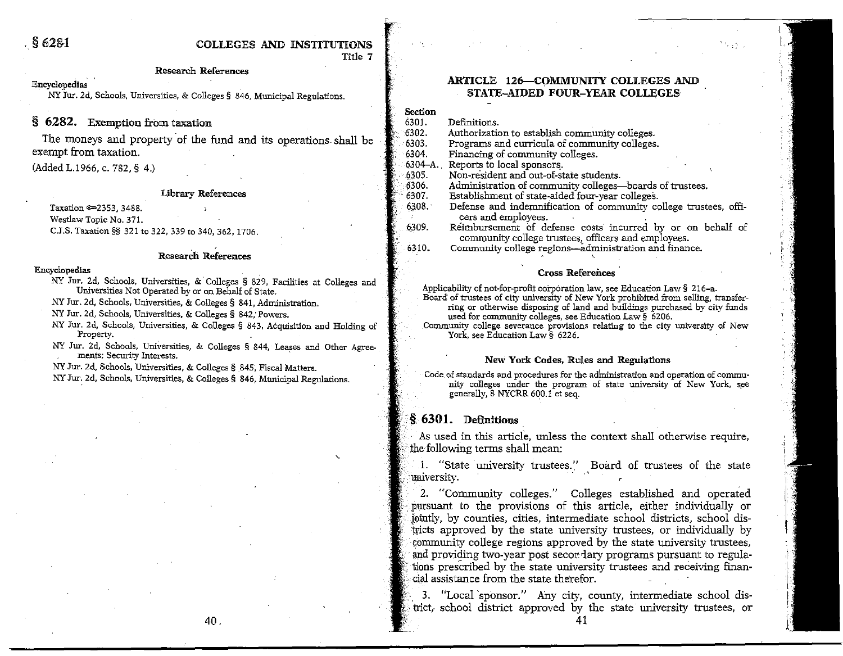### ,§ 621H COILILEGE§ **AN][])** XNSTITIJHONS Title 7

#### **Research References**

#### **Encyclopedias**

**NY Jur. 2d, Schools, Universities, & Colleges § 846, Municipal Regulations.** 

## § **6282.** Exemption from taxation

The moneys and property of the fund and its operations shall be exempt from taxation,

(Added L.1966, c. 782, § 4.)

### **Library References**

Taxation © 2353, 3488. **Westlaw Topic No. 371.** 

C.J.S, Taxation§§ 321 to 322, 339 to 340, 362, 1706.

#### **ResearCh References**

#### **En.cyclopedias**

**NY Jur. 2d, Schools, Universities, &. Colleges § 829, Facilities at Colleges and Universities Not Operated by or on Behalf of State.** 

**NY Jur. 2d, Schools,. Universities, & Colleges§ 841, Administration.** 

**NY Jur. 2d, Schools, Universities, & Colleges § 842; Powers.** 

- **NY ,for. 2d, Schools, Universities, & Colleges § 843, AC:quisition aod Holding of Property.** \_
- **NY Jur. 2d, Schools, Universities, & Colleges § 844, Leases and Other Agree- ments**; Security Interests.

**NY Jur. 2d, Schools, Universities, & Colleges § \_845; Fiscal Matters.** 

**NY Jur: 2d, Schools, Universities, & Colleges§ 846, Municipal Regulations.** 

### **ARTICLE 126-COMMUNITY COLLEGES AND** STATE-AIDED FOUR-YEAR COLLEGES

**Section** 

- 6301. Definitions.<br>6302. Authorizati
- 6302. **Authorization to establish commUnity colleges.**  6303. Programs and curricula of community colleges.<br>6304. Financing of community colleges.

6304, **Financing of community colleges.** 

6304-A. Reports to local sponsors.<br>6305. Non-resident and out-of-st

- 6305. **Non-re'sident and out-of-state students.**
- 6306, **Administration of community colleges-boards of trustees.** · 6307, Establishment of state,aided four-year colleges.
	-
	- Defense and indemnification of community college trustees, offi**cers and employees.**
- 6309. **Re"imbursement Of defense costs· incurred by or on behalf of**  community college trustees, officers and employees,

6310, **Community college regions-3.dministration and finance.** ,.

#### **Cross References**

**Applicability of not-for-profit co:rp6ration law, see Education Law§ 216-a. Board' of trustees of city university of New York prohibited from selling, transferring or otherwise disposing of land and buildings purchased by city funds** 

**used for community colleges, see Education Law§ 6206.** 

Community college severance provisions relating to the city university of New York, see Education Law § 6226.

#### **New Yock Codes, Rules and Regulations**

Code of standards and procedures for the administration and operation of community colleges under the program of state university of New York, see generally, 8 NYCRR 600.1 et seq.

### $\S$  6301. Definitions

'

As used in this article, unless the context shall otherwise require, the following terms shall mean:

1. "State university trustees." Board of trustees of the state university.

2, "Community colleges," Colleges established and operated . pursuant to the provisions of this article, either individually or j0intly, by counties, cities, intermediate school districts, school districts approved by the state university trustees, or individually by community college regions approved by the state university trustees, and providing two-year post secor lary programs pursuant to regula-. tions prescribed by the state university trustees and receiving financial assistance from the state therefor,

3, "Local 'sponsor," Any city, county, intermediate school district, school district approved by the state university trustees, or

40.

41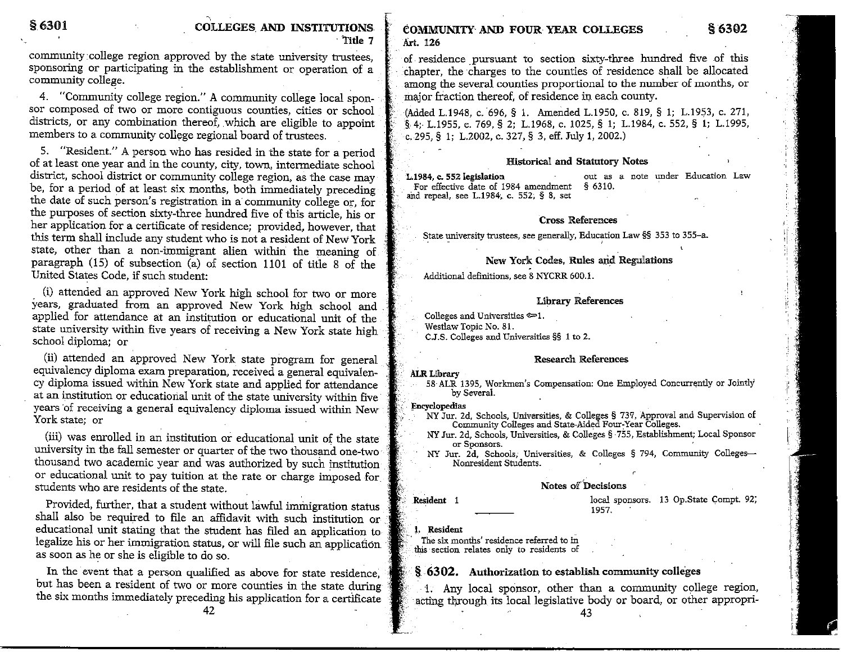community college region approved by the state university trustees, sponsoring or participating in the establishment or operation of a community college.

4. "Community college region." A community college local sponsor composed of two or more contiguous counties, cities or school districts, or any combination thereof, which are eligible to appoint members to a community college regional board of trustees.

5. "Resident." A person who has resided in the state for a period of at least one year and in the county, city, town, intermediate school district, school district or community college region, as the case may be, for a period of at least six months, both immediately preceding the date of such person's registration in a community college or, for the purposes of section sixty-three hundred five of this article, his or her application for a certificate of residence; provided, however, that this term shall include any student who is not a resident of New York state, other than a non-immigrant alien within the meaning of paragraph (15) of subsection (a) of section 1101 of title 8 of the United States Code, if such student:

(i) attended an approved New York high school for two or more years, graduated from an approved New York high school and applied for attendance at an institution or educational unit of the state university within five years of receiving a New York state high school diploma; or

(ii) attended an approved New York state program for general equivalency diploma exam preparation, received a general equivalency diploma issued within New York state and applied for attendance at an institution or educational unit of the state university within five years of receiving a general equivalency diploma issued within New York state; or

(iii) was enrolled in an institution or educational unit of the state university in the fall semester or quarter of the two thousand one-two thousand two academic year and was authorized by such institution or educational unit to pay tuition at the rate or charge imposed for students who are residents of the state.

Provided, further, that a student without lawful immigration status shall also be required to file an affidavit with such institution or educational unit stating that the student has filed an application to legalize his or her immigration status, or will file such an application as soon as he or she is eligible to do so.

In the event that a person qualified as above for state residence, but has been a resident of two or more counties in the state during the six months immediately preceding his application for a certificate **eOMMUNITI" AND FOUR YEAR COLLEGES** § **6302 Art. 126** 

of residence pursuant to section sixty-three hundred five of this chapter, the charges to the counties of residence shall be allocated among the several counties proportional to the number of months, or major fraction thereof, of residence in each county.

(Added L.1948, c. 696, § 1. Amended L.1950, c. 819, § 1; L.1953, c. 271, §, 4;- L.1955, c. 769, § 2; L.1968, c. 1025, § I; L.1984, c. 552, § I; L.1995, c.295, § !; L.2002, c. 327, § 3, eff. July I, 2002.)

### **Historical and Statutory Notes**

**I..1984, c. 552 legislation out as a note under Education Law For effective date of 1984 amendment** § 6310. · **Slld repeal, see L.1984~ c. 552; § 8, set** 

### **Cross References**

**\_State university trustees, see generally, Education Law§§ 353 to 355-a.** . - '

# **New York Codes, Rules and Regulations**<br>Additional definitions, see 8 NYCRR 600.1.

#### **Library References**

**Colleges and Universities**  $\approx 1$ **. Westlaw Topic No. 81. CJ.S. Colleges and Universities §§ 1 to 2.** 

#### **Research References**

**ALR Library .**<br>. , 58-ALR 1395, Workmen's Compensation: One Employed Concurrently or Jointly . by Several.

- **\* Kncyclopedias** *NY Jur. 2d, Schools, Universities, & Colleges* **§ 737, Approval and Supervision of Community Colleges and State-Aided Four:Year Colleges.** ·
	- **NY Jur. 2d, Schools, Universities, & Colleges§ -755, Establishment; Local Sponsor or Sponsors.** '
	- **NY Jur. 2d, Schools,· Universities, & Colleges § 794, Community Colleges-Nonresident Students.**

#### **Notes of Decisions**

dhuda

'

 $\alpha$ 

**Resident** I **local sponsors.** 13 Op.State Compt. 92; 1957.

**1. Resident** 

**The six months' residence referred to in this · section relates only to residents of** 

### § 6302. Authorization to establish community colleges

 $\cdot$  1. Any local sponsor, other than a community college region, acting through its local legislative body or board, or other appropri-

42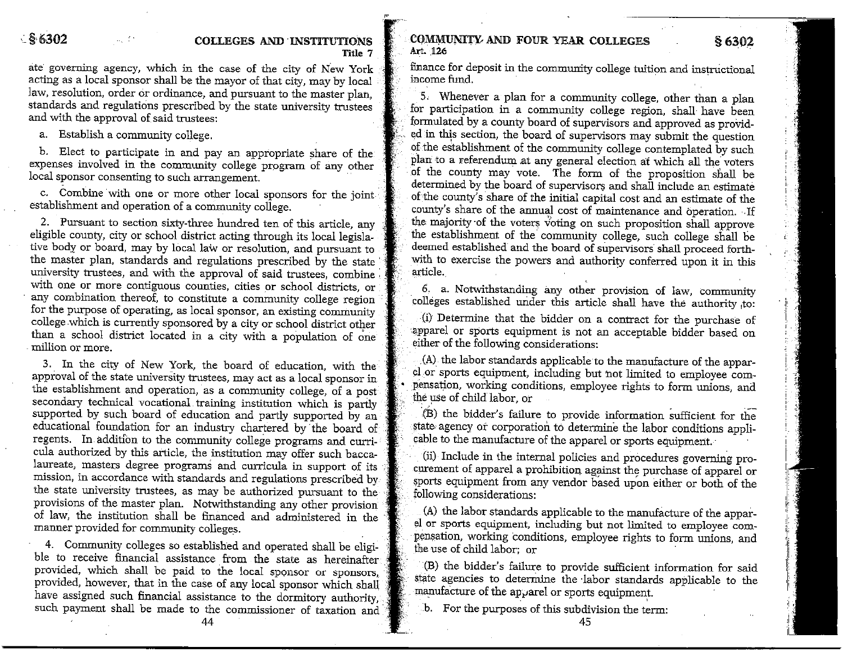### -~ **{Hi302 COLLEGES AND 'INSTITUTIONS Title 7**

ate governing agency, which in the case of the city of New York acting as a local sponsor shall be the mayor of that city, may by local law, resolution, order or ordinance, and pursuant to the master plan, standards and regulations prescribed by the state university trustees and with the approval of said trustees:

a. Establish a community college.

b. Elect to participate in and pay an appropriate share of the expenses involved in the community college program of any other local sponsor consenting to such arrangement.

c. Combine with one or more other local sponsors for the joint establishment and operation of a community college.

2. Pursuant to section sixty-three hundred ten of this article, any eligible county, city or school district acting through its local legislative body or board, may by local law or resolution, and pursuant to the master plan, standards and regulations prescribed by the state university trustees, and with the approval of said trustees, combine with one or more contiguous counties, cities or school districts, or any combination thereof, to constitute a community college region for the purpose of operating, as local sponsor, an existing community college which is currently sponsored by a city or school district other than a school district located in a city with a population of one -million or more.

3. In the city of New York, the board of education, with the approval of the state university trustees, may act as a local sponsor in the establishment and operation, as a community college, of a post secondary technical vocational training institution which is partly supported by such board of education and partly supported by an educational foundation for an industry chartered by the board of regents. In addition to the community college programs and curricula authorized by this article, the institution may offer such baccalaureate, masters degree programs and curricula in support of its mission, in accordance with standards and regulations prescribed by the state university trustees, as may be authorized pursuant to the provisions of the master plan. Notwithstanding any other provision of law, the institution shall be financed and administered in the manner provided for community colleges.

4. Community colleges so established and operated shall be eligible to receive financial assistance from the state as hereinafter provided, which shall be paid to the local sponsor or sponsors, provided, however, that in the case of any local sponsor which shall have assigned such financial assistance to the dormitory authority, such payment shall be made to the commissioner of taxation and

44

**COMMUNITY AND FOUR YEAR COLLEGES** § 6302 Art. 126

finance for deposit in the community college tuition and instructional income fund.

5. Whenever a plan for a community college, other than a plan for participation in a community college region, shall have been formulated by a county board of supervisors and approved as provided in this section, the board of supervisors may submit the question of the establishment of the community college contemplated by such plan to a referendum at any general election at which all the voters of the county may vote. The form of the proposition shall be determined by the board of supervisors and shall include an estimate of the county's share of the initial capital cost and an estimate of the county's share of the annual cost of maintenance and operation. If the majority of the voters voting on such proposition shall approve the establishment of the community college, such college shall be deemed established and the board of supervisors shall proceed forthwith to exercise the powers and authority conferred upon it in this article.

6. a. Notwithstanding any other provision of law, community colleges established under this article shall have the authority ,to:

(i) Determine that the bidder on a contract for the purchase of apparel or sports equipment is not an acceptable bidder based on either of the following considerations:

. (A) the labor standards applicable to the manufacture of the apparel .or sports equipment, including but not limited to employee com pensation, working conditions, employee rights to form unions, and the use of child labor, or

(B) the bidder's failure to provide information sufficient for the state, agency *at* corporation to determine the labor conditions applicable to the manufacture of the apparel or sports equipment.

(ii) Include in the internal policies and procedures governing procurement of apparel a prohibition against the purchase of apparel or sports equipment from any vendor based upon either or both of the following considerations:

(A) the labor standards applicable to the manufacture of the apparel or sports equipment, including but not limited to employee com pensation, working conditions, employee rights to form unions, and the use of child labor; or

(B) the bidder's failure to provide sufficient information for said state agencies to determine the labor standards applicable to the manufacture of the apparel or sports equipment.

.b. For the purposes of this subdivision the term: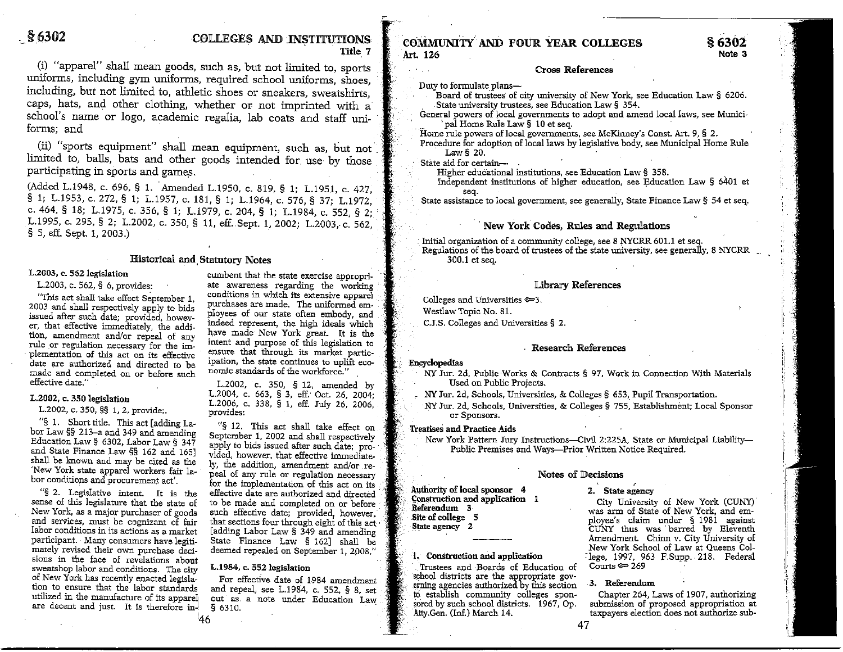# S 6302 **COLLEGES AND INSTITUTIONS**<br>Title 7

(i) "apparel" shall mean goods, such as, but not limited to, sports uniforms, including gym uniforms, required school uniforms, shoes, including, but not limited to, athletic shoes or sneakers, sweatshirts, caps, hats, and other clothing, whether or not imprinted with a school's name or logo, academic regalia, lab coats and staff uni-

(ii) "sports equipment" shall mean equipment, such as, but not limited to, balls, bats and other goods intended for use by those participating in sports and game\_s.

(Added L.1948, c. 696, § 1. Amended L.1950, c. 819, § 1; L.1951, c. 427, § 1; L.1953, c. 272, § 1; L.1957, c. 181, § 1; L.1964, c. 576, § 37; L.1972, C. 464, § 18; 1.1975, C. 356, § 1; 1.1979, C. 204, § 1; 1.1984, C. 552, § 2; L.1995, c. 295, § 2; L.2002, c. 350, § 11, eff. Sept. 1, 2002; L.2003, c. 562, § 5, eff. Sept. 1, 2003.)

#### **Historical and, Statntory Notes**

issued after such date; provided, howev-<br>er that effective immediately the addi-<br>indeed represent, the high ideals which er, that effective immediately, the addi-<br>tion, amendment and/or repeal of any have made New York great. It is the have made intent and the tion, and the time intent and purpose of this legislation to rule or regulation necessary for the implementation of this act on its effective ensure that through its market partic-<br>date are authorized and directed to be ipation, the state continues to uplift ecodate are authorized and directed to be  $\frac{1}{2}$  pation, the state continues to uplift made and completed on or before well. nomic standards of the workforce." made and completed on or before such effective date."

"§ 1. Short title. This act [adding La-<br>
bor Law §§ 213-a and 349 and amending<br>
September 1, 2002 and shall respectively<br>
Education Law § 6302, Labor Law § 347<br>
apply to bids issued after such date; pro-<br>
and State Financ

New York, as a major purchaser of goods such effective date; provided, however, and services, must be cognizant of fair that sections four through eight of this act and services, must be cognizant of fair that sections four through eight of this act labor conditions in its actions as a market [adding Labor Law § 349 and amending labor conditions in its actions as a market [adding Labor Law § 349 and amending participant. Many consumers have legiti-<br>mately revised their own purchase deci-<br>deemed repealed on September 1, 2008." sions in the face of revelations about sweatshop labor and conditions. The city L.1984, c. 552 legislation<br>of New York has recently enacted legisla-<br>For effective date of 1. of New York has recently enacted legisla-<br>tion to ensure that the labor standards and repeal, see 1.1984, c. 552, 5, 8, set are decent and just. It is therefore in $\frac{1}{2}$  § 6310.

L.2003, c. 562 legislation cumbent that the state exercise appropri-<br>L.2003, c. 562, § 6, provides: ate awareness regarding the working ate awareness regarding the working conditions in which its extensive apparel "This act shall take effect September 1, conditions in which its extensive apparel 2003 and shall respectively apply to bids purchases are made. The uniformed em-<br>issued after such data: provided boursy ployees of our stat

L.2002, c. 350, § 12, amended by<br>L.2004, c. 663, § 3, eff. Oct. 26, 2004; L.2002, c. 350 legislation L.2004, c. 663, § 3, eff. Oct. 26, 2004;<br>L.2002, c. 350, §§ 1, 2, provide;. L.2006, c. 338, § 1, eff. July 26, 2006,

For the implementation of this act on its "§ 2. Legislative intent. It is the effective date are authorized and directed sense of this legislature that the state of to be made and completed on or before New York, as a majo deemed repealed on September 1, 2008."

tion to ensure that the labor standards and repeal, see L.1984, c. 552, § 8, set utilized in the manufacture of its apparel out as a note under Education Law

146

### **COMMUNITY AND FOUR YEAR COLLEGES** § 6302 **Art.** 126 **Note 3**

Cross References

- Duty to formulate plans- . Board of trustees of city university of New York, see Education Law § 6206.<br>State university trustees, see Education Law § 354.
- General powers of local governments to adopt and amend local laws, see Municipal Home Rule Law § 10 et seq.
- Home rule powers of local governments, see McKinney's Const. Art. 9, § 2.
- Procedure for adoption of local laws by legislative body, see Municipal Home Rule Law $§$  20.

- State aid for certain— .<br>Higher educational institutions, see Education Law § 358.
	- Independent institutions of higher education, see Education Law § 6401 et

State assistance to local government, see generally, State Finance Law  $\S$  54 et seq.

### New York Codes, Rules and Regulations

Initial organization of a community college, see 8 NYCRR 601.1 et seq. Regulations of the board of trustees of the state university, see generally, 8 NYCRR 300.1 et seq.

### Library References

Colleges and Universities  $\simeq$ 3. Westlaw Topic No. 81. C.J.S. Colleges and Universities § 2.

#### Research References

#### Encyclopedias

.,

- NY Jur. 2d, Public·Works & Contracts§ 97, Work in Connection With Materials Used on Public Projects.
- NY Jur. 2d, Schools, Universities, & Colleges § 653, Pupil Transportation.
- NY Jur. 2d, Schools, Universities, & Colleges § 755, Establishment; Local Sponsor or Sponsors.

#### Treatises and Practice Aids

New York Pattern Jury Instructions-Civil 2:225A, State or Municipal Liability-Public Premises and Ways-Prior Written Notice Required.

#### Notes of Decisions

Authority of local sponsor  $\begin{array}{ccc} 4 & 2. & \text{State agency} \\ \text{Construction} & \text{Add application} & 1 & \text{Civ. University} \end{array}$ 

Trustees and Boards of Education of school districts are the appropriate governing agencies authorized by this section  $\cdot$  3. Referendum to establish community colleges spon-<br>sored by such school districts. 1967, Op. submission of proposed appropriation at

Construction and application 1 City University of New York (CUNY)<br>
Referendum 3 was arm of State of New York, and em-<br>
Site of college 5 ployee's claim under § 1981 against <sup>~</sup>**.Site** of college 5 ployee's claim under § 1981 against &tate agency 2 CUNY thus was · barred by Eleventh Amendment. Chinn v. City University of New York School of Law at Queens Col-L. Construction and application Clege, 1997, 963 F.Supp ... 218. Federal<br>Trustees and Boards of Education of Courts = 269

sored by such school districts. 1967, Op. submission of proposed appropriation at Atty.Gen. (Inf.) March 14. taxpayers election does not authorize subtaxpayers election does not authorize sub-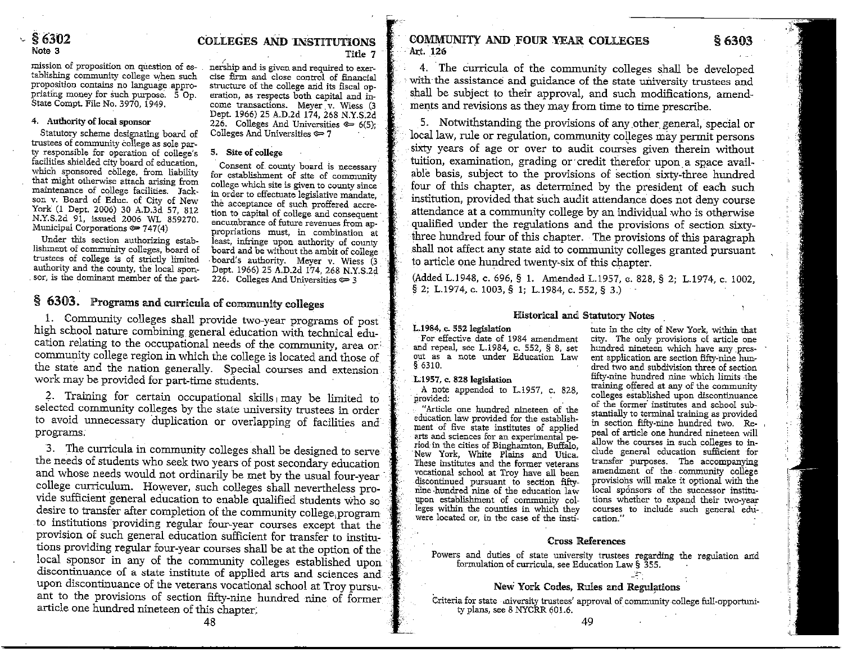mission of proposition on question of es-<br>
nership and is given and required to exer-<br>
tablishing community college when such<br>
cise firm and close control of financial<br>
proposition contains no language appro-<br>
structure of

Statutory scheme designating board of **trustees of community College as sole party responsible for operation of college's 5. Site of college**  facilities shielded city board of education, Consent of county board is necessary<br>which sponsored college, from liability for establishment of site of community<br>that might otherwise attach arising from college which site i

**trustees of college is of strictly limited** , **board'.s authority. Meyer v. Wiess (3**  authority and the county, the local spon-Dept. 1966) 25 A.D.2d 174, 268 N.Y.S.2d sor, is the dominant member of the part-<br>sor, is the dominant member of the part-<br>226. Colleges And Universities  $\epsilon = 3$ 

# ·- § **6302 COL[IEGES AND INSTITIJ'fIONS**  Note 3 Title **7** *(*

come transactions. Meyer v. Wiess (3 Dept. 1966) 25 A.D.Zd 174, 268 N.Y.S.2d 4. Authority of local sponsor<br>
<sup>226</sup>. Colleges And Universities  $\approx$  6(5);<br>
Statutory scheme designating board of Colleges And Universities  $\approx$  7

Numicipal Corporations  $\infty$  *At*(4) **computations** must, in combination at Under this section authorizing estab-<br>least, infringe upon authority of county lishment of community colleges, board of board and be without the a

## § 6303. Programs and curricula of community colleges

1. Community colleges shall provide two-year programs of post high school nature combining general education with technical education relating to the occupational needs of the community, area or, community college region in which the college is located and those of the state and the nation generally. Special courses and extension work may be provided for part-time students.

2. Training for certain occupational skills, may be limited to selected community colleges by the state university trustees in order to avoid unnecessary duplication or overlapping of facilities and programs.

3. The curricula in community colleges shall be designed to serve the needs of students who seek two years of post secondary education and whose needs would not ordinarily be met by the usual four-year college cuniculum. However, such colleges shall nevertheless provide sufficient general education to enable qualified students who so desire to transfer after completion of the community college, program to institutions providing regular four-year courses except that the provision of such general education sufficient for transfer to institutions providing regular four-year courses shall be at the option of the local sponsor in any of the community colleges established upon discontinuance of a state institute of applied arts and sciences and upon discontinuance of the veterans vocational school at Troy pursuant to the provisions of section fifty-nine hundred nine of former article one hundred nineteen of this chapter:

# **COMMUNITY AND FOUR YEAR COLLEGES <b>§6303 Art, 126**

4. The curricula of the community colleges shall be developed **with·the assistance and guidance of the state university trustees and**  shall be subject to their approval, and such modifications, amendments and revisions as they may from time to time prescribe.

5. Notwithstanding the provisions of any other general, special or local law, rule or regulation, community colleges may permit persons sixty years of age or over to audit courses given therein without tuition, examination, grading or credit therefor upon a space available basis, subject to the provisions of section sixty-three hundred four of this chapter, as determined by the president of each such institution, provided that such audit attendance does not deny course attendance at a community college by an individual who is otherwise qualified under the regulations and the provisions of section sixtythree hundred four of this chapter. The provisions of this paragraph .shall not affect any state aid to community colleges granted pursuant to article one hundred twenty-six of this chapter.

(Added L.1948, c. 696, § L Amended L.1957, a. 828, § 2; L.1974, c. 1002, § 2; L.1974, c. 1003, § 1; L.1984, c. 552, § 3.)

#### **Historical and Statutory Notes**

For extension and repeal, see L.1984, c. 552, § 8, set hundred nineteen which have any pres-<br>
out as a note under Education Law ent application are section fifty-nine hun**out as a note under Education Law ent application are section fifty-nine hun**

nine hundred nine of the education law upon establishment of community colleges within the counties in which they courses were located or, in the case of the insti- cation."

**L.1984, c. 552 legislation** tute in the city of New York, within that **For effective date of 1984 amendment** city. The only provisions of article one dred two and subdivision three of section fifty-nine hundred nine which limits the 1.1957, c. 828 legislation fifty-nine hundred nine which limits the<br>
A note appended to L.1957, c. 828, training offered at any of the community<br>
provided:<br>
"Article one hundred nineteen of the stablished upon discontinuan riod in the cities of Binghamton, Buffalo, allow the courses in such colleges to in-<br>New York, White Plains and Utica. clude general education sufficient for<br>These institutes and the former veterans transfer purposes. The **These institutes and the former veterans transfer purposes. The accompanying**  vocational school at Troy have all been amendment of the community college<br>discontinued pursuant to section fifty- provisions will make it optional with the **discontinued pursuant to section fifty provisiohs will make it optional with the**  tions whether to expand their two-year<br>courses to include such general edu-

### **Cross References**

Powers and duties of state university trustees regarding the regulation and **formulation of curricula, see Education Law§ 355.** 

### New York Codes, Rules and Regulations

Criteria for state aiversity trustees' approval of community college full-opportunity plans, see 8 NYCRR 601.6.

48

49